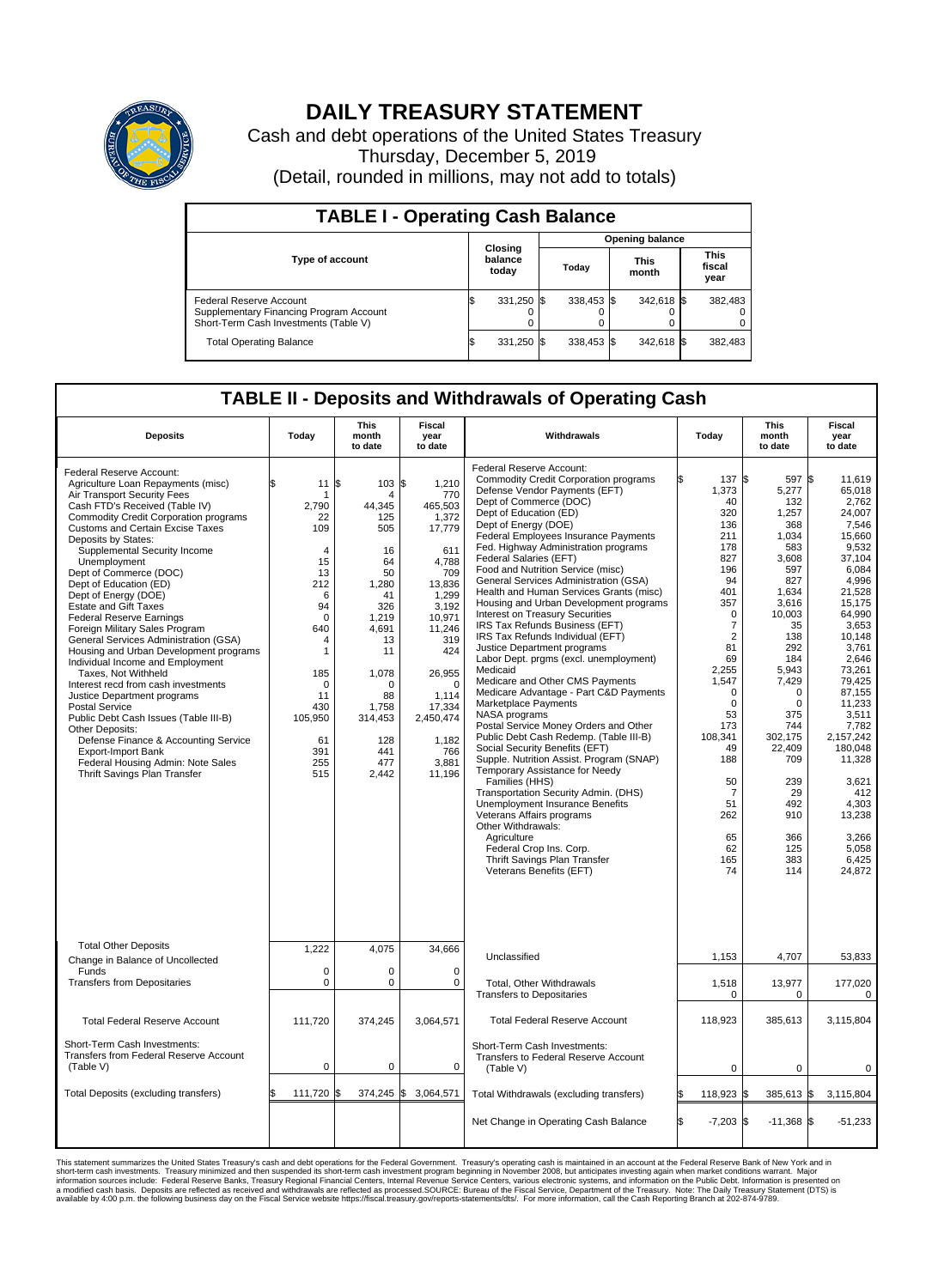

## **DAILY TREASURY STATEMENT**

Cash and debt operations of the United States Treasury Thursday, December 5, 2019 (Detail, rounded in millions, may not add to totals)

| <b>TABLE I - Operating Cash Balance</b>                                                                     |     |                             |  |                        |  |                      |  |                               |  |  |
|-------------------------------------------------------------------------------------------------------------|-----|-----------------------------|--|------------------------|--|----------------------|--|-------------------------------|--|--|
|                                                                                                             |     |                             |  | <b>Opening balance</b> |  |                      |  |                               |  |  |
| Type of account                                                                                             |     | Closing<br>balance<br>today |  | Today                  |  | <b>This</b><br>month |  | <b>This</b><br>fiscal<br>year |  |  |
| Federal Reserve Account<br>Supplementary Financing Program Account<br>Short-Term Cash Investments (Table V) |     | 331,250 \$                  |  | 338.453 \$             |  | 342,618 \$           |  | 382,483                       |  |  |
| <b>Total Operating Balance</b>                                                                              | I\$ | 331,250 \$                  |  | 338,453 \$             |  | 342,618 \$           |  | 382,483                       |  |  |

## **TABLE II - Deposits and Withdrawals of Operating Cash**

| <b>Deposits</b>                                                                                                                                                                                                                                                                                                                                                                                                                                                                                                                                                                                                                                                                                                                                                                                                                                                                                                                              | Today                                                                                                                                                                          | <b>This</b><br>month<br>to date                                                                                                                                                 | Fiscal<br>year<br>to date                                                                                                                                                                                                   | Withdrawals                                                                                                                                                                                                                                                                                                                                                                                                                                                                                                                                                                                                                                                                                                                                                                                                                                                                                                                                                                                                                                                                                                                                                                                                                                           | Today                                                                                                                                                                                                                                                                     | <b>This</b><br>month<br>to date                                                                                                                                                                                                                                                       | <b>Fiscal</b><br>year<br>to date                                                                                                                                                                                                                                                                                                   |  |  |
|----------------------------------------------------------------------------------------------------------------------------------------------------------------------------------------------------------------------------------------------------------------------------------------------------------------------------------------------------------------------------------------------------------------------------------------------------------------------------------------------------------------------------------------------------------------------------------------------------------------------------------------------------------------------------------------------------------------------------------------------------------------------------------------------------------------------------------------------------------------------------------------------------------------------------------------------|--------------------------------------------------------------------------------------------------------------------------------------------------------------------------------|---------------------------------------------------------------------------------------------------------------------------------------------------------------------------------|-----------------------------------------------------------------------------------------------------------------------------------------------------------------------------------------------------------------------------|-------------------------------------------------------------------------------------------------------------------------------------------------------------------------------------------------------------------------------------------------------------------------------------------------------------------------------------------------------------------------------------------------------------------------------------------------------------------------------------------------------------------------------------------------------------------------------------------------------------------------------------------------------------------------------------------------------------------------------------------------------------------------------------------------------------------------------------------------------------------------------------------------------------------------------------------------------------------------------------------------------------------------------------------------------------------------------------------------------------------------------------------------------------------------------------------------------------------------------------------------------|---------------------------------------------------------------------------------------------------------------------------------------------------------------------------------------------------------------------------------------------------------------------------|---------------------------------------------------------------------------------------------------------------------------------------------------------------------------------------------------------------------------------------------------------------------------------------|------------------------------------------------------------------------------------------------------------------------------------------------------------------------------------------------------------------------------------------------------------------------------------------------------------------------------------|--|--|
| Federal Reserve Account:<br>Agriculture Loan Repayments (misc)<br>Air Transport Security Fees<br>Cash FTD's Received (Table IV)<br><b>Commodity Credit Corporation programs</b><br><b>Customs and Certain Excise Taxes</b><br>Deposits by States:<br>Supplemental Security Income<br>Unemployment<br>Dept of Commerce (DOC)<br>Dept of Education (ED)<br>Dept of Energy (DOE)<br><b>Estate and Gift Taxes</b><br><b>Federal Reserve Earnings</b><br>Foreign Military Sales Program<br>General Services Administration (GSA)<br>Housing and Urban Development programs<br>Individual Income and Employment<br>Taxes. Not Withheld<br>Interest recd from cash investments<br>Justice Department programs<br><b>Postal Service</b><br>Public Debt Cash Issues (Table III-B)<br><b>Other Deposits:</b><br>Defense Finance & Accounting Service<br><b>Export-Import Bank</b><br>Federal Housing Admin: Note Sales<br>Thrift Savings Plan Transfer | 11S<br>\$<br>2,790<br>22<br>109<br>$\overline{4}$<br>15<br>13<br>212<br>6<br>94<br>$\mathbf 0$<br>640<br>4<br>1<br>185<br>0<br>11<br>430<br>105,950<br>61<br>391<br>255<br>515 | 103 \$<br>4<br>44,345<br>125<br>505<br>16<br>64<br>50<br>1,280<br>41<br>326<br>1,219<br>4.691<br>13<br>11<br>1,078<br>0<br>88<br>1.758<br>314,453<br>128<br>441<br>477<br>2,442 | 1,210<br>770<br>465,503<br>1,372<br>17,779<br>611<br>4.788<br>709<br>13,836<br>1,299<br>3,192<br>10,971<br>11,246<br>319<br>424<br>26,955<br>$\mathbf 0$<br>1,114<br>17,334<br>2,450,474<br>1,182<br>766<br>3,881<br>11,196 | Federal Reserve Account:<br><b>Commodity Credit Corporation programs</b><br>Defense Vendor Payments (EFT)<br>Dept of Commerce (DOC)<br>Dept of Education (ED)<br>Dept of Energy (DOE)<br><b>Federal Employees Insurance Payments</b><br>Fed. Highway Administration programs<br>Federal Salaries (EFT)<br>Food and Nutrition Service (misc)<br>General Services Administration (GSA)<br>Health and Human Services Grants (misc)<br>Housing and Urban Development programs<br>Interest on Treasury Securities<br>IRS Tax Refunds Business (EFT)<br>IRS Tax Refunds Individual (EFT)<br>Justice Department programs<br>Labor Dept. prgms (excl. unemployment)<br>Medicaid<br>Medicare and Other CMS Payments<br>Medicare Advantage - Part C&D Payments<br>Marketplace Payments<br>NASA programs<br>Postal Service Money Orders and Other<br>Public Debt Cash Redemp. (Table III-B)<br>Social Security Benefits (EFT)<br>Supple. Nutrition Assist. Program (SNAP)<br>Temporary Assistance for Needy<br>Families (HHS)<br>Transportation Security Admin. (DHS)<br>Unemployment Insurance Benefits<br>Veterans Affairs programs<br>Other Withdrawals:<br>Agriculture<br>Federal Crop Ins. Corp.<br>Thrift Savings Plan Transfer<br>Veterans Benefits (EFT) | 137 \$<br>1,373<br>40<br>320<br>136<br>211<br>178<br>827<br>196<br>94<br>401<br>357<br>$\Omega$<br>7<br>$\overline{2}$<br>81<br>69<br>2,255<br>1,547<br>$\mathbf 0$<br>$\mathbf 0$<br>53<br>173<br>108,341<br>49<br>188<br>50<br>-7<br>51<br>262<br>65<br>62<br>165<br>74 | 597 \$<br>5,277<br>132<br>1,257<br>368<br>1,034<br>583<br>3,608<br>597<br>827<br>1,634<br>3,616<br>10.003<br>35<br>138<br>292<br>184<br>5,943<br>7,429<br>$\mathbf 0$<br>$\mathbf 0$<br>375<br>744<br>302,175<br>22,409<br>709<br>239<br>29<br>492<br>910<br>366<br>125<br>383<br>114 | 11,619<br>65,018<br>2,762<br>24.007<br>7,546<br>15,660<br>9.532<br>37,104<br>6.084<br>4.996<br>21,528<br>15,175<br>64.990<br>3,653<br>10,148<br>3,761<br>2,646<br>73,261<br>79,425<br>87,155<br>11,233<br>3,511<br>7,782<br>2,157,242<br>180.048<br>11,328<br>3,621<br>412<br>4,303<br>13,238<br>3,266<br>5,058<br>6,425<br>24,872 |  |  |
| <b>Total Other Deposits</b><br>Change in Balance of Uncollected                                                                                                                                                                                                                                                                                                                                                                                                                                                                                                                                                                                                                                                                                                                                                                                                                                                                              | 1,222                                                                                                                                                                          | 4,075                                                                                                                                                                           | 34,666                                                                                                                                                                                                                      | Unclassified                                                                                                                                                                                                                                                                                                                                                                                                                                                                                                                                                                                                                                                                                                                                                                                                                                                                                                                                                                                                                                                                                                                                                                                                                                          | 1,153                                                                                                                                                                                                                                                                     | 4,707                                                                                                                                                                                                                                                                                 | 53,833                                                                                                                                                                                                                                                                                                                             |  |  |
| Funds<br><b>Transfers from Depositaries</b>                                                                                                                                                                                                                                                                                                                                                                                                                                                                                                                                                                                                                                                                                                                                                                                                                                                                                                  | 0<br>$\mathbf 0$                                                                                                                                                               | $\Omega$<br>$\mathbf 0$                                                                                                                                                         | $\Omega$<br>$\mathbf 0$                                                                                                                                                                                                     | Total, Other Withdrawals                                                                                                                                                                                                                                                                                                                                                                                                                                                                                                                                                                                                                                                                                                                                                                                                                                                                                                                                                                                                                                                                                                                                                                                                                              | 1,518                                                                                                                                                                                                                                                                     | 13,977                                                                                                                                                                                                                                                                                | 177,020                                                                                                                                                                                                                                                                                                                            |  |  |
|                                                                                                                                                                                                                                                                                                                                                                                                                                                                                                                                                                                                                                                                                                                                                                                                                                                                                                                                              |                                                                                                                                                                                |                                                                                                                                                                                 |                                                                                                                                                                                                                             | <b>Transfers to Depositaries</b>                                                                                                                                                                                                                                                                                                                                                                                                                                                                                                                                                                                                                                                                                                                                                                                                                                                                                                                                                                                                                                                                                                                                                                                                                      | 0                                                                                                                                                                                                                                                                         | $\mathbf 0$                                                                                                                                                                                                                                                                           | $\mathbf 0$                                                                                                                                                                                                                                                                                                                        |  |  |
| <b>Total Federal Reserve Account</b>                                                                                                                                                                                                                                                                                                                                                                                                                                                                                                                                                                                                                                                                                                                                                                                                                                                                                                         | 111,720                                                                                                                                                                        | 374,245                                                                                                                                                                         | 3,064,571                                                                                                                                                                                                                   | <b>Total Federal Reserve Account</b>                                                                                                                                                                                                                                                                                                                                                                                                                                                                                                                                                                                                                                                                                                                                                                                                                                                                                                                                                                                                                                                                                                                                                                                                                  | 118,923                                                                                                                                                                                                                                                                   | 385,613                                                                                                                                                                                                                                                                               | 3,115,804                                                                                                                                                                                                                                                                                                                          |  |  |
| Short-Term Cash Investments:<br>Transfers from Federal Reserve Account<br>(Table V)                                                                                                                                                                                                                                                                                                                                                                                                                                                                                                                                                                                                                                                                                                                                                                                                                                                          | $\mathbf 0$                                                                                                                                                                    | 0                                                                                                                                                                               | 0                                                                                                                                                                                                                           | Short-Term Cash Investments:<br>Transfers to Federal Reserve Account<br>(Table V)                                                                                                                                                                                                                                                                                                                                                                                                                                                                                                                                                                                                                                                                                                                                                                                                                                                                                                                                                                                                                                                                                                                                                                     | $\mathbf 0$                                                                                                                                                                                                                                                               | 0                                                                                                                                                                                                                                                                                     | 0                                                                                                                                                                                                                                                                                                                                  |  |  |
| Total Deposits (excluding transfers)                                                                                                                                                                                                                                                                                                                                                                                                                                                                                                                                                                                                                                                                                                                                                                                                                                                                                                         | 111,720 \$                                                                                                                                                                     | 374,245 \$                                                                                                                                                                      | 3,064,571                                                                                                                                                                                                                   | Total Withdrawals (excluding transfers)                                                                                                                                                                                                                                                                                                                                                                                                                                                                                                                                                                                                                                                                                                                                                                                                                                                                                                                                                                                                                                                                                                                                                                                                               | 118,923                                                                                                                                                                                                                                                                   | 385,613 \$<br>1\$                                                                                                                                                                                                                                                                     | 3,115,804                                                                                                                                                                                                                                                                                                                          |  |  |
|                                                                                                                                                                                                                                                                                                                                                                                                                                                                                                                                                                                                                                                                                                                                                                                                                                                                                                                                              |                                                                                                                                                                                |                                                                                                                                                                                 |                                                                                                                                                                                                                             | Net Change in Operating Cash Balance                                                                                                                                                                                                                                                                                                                                                                                                                                                                                                                                                                                                                                                                                                                                                                                                                                                                                                                                                                                                                                                                                                                                                                                                                  | \$.<br>$-7,203$ \$                                                                                                                                                                                                                                                        | $-11,368$ \$                                                                                                                                                                                                                                                                          | $-51,233$                                                                                                                                                                                                                                                                                                                          |  |  |

This statement summarizes the United States Treasury's cash and debt operations for the Federal Government. Treasury soperating in November 2008, but anticiarded in a cocount at the Federal metaformation sources investment